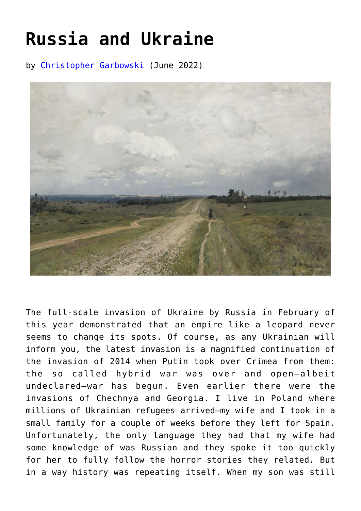## **[Russia and Ukraine](https://www.newenglishreview.org/articles/russia-and-ukraine/)**

by [Christopher Garbowski](https://www.newenglishreview.org/authors/christopher-garbowski/?) (June 2022)



The full-scale invasion of Ukraine by Russia in February of this year demonstrated that an empire like a leopard never seems to change its spots. Of course, as any Ukrainian will inform you, the latest invasion is a magnified continuation of the invasion of 2014 when Putin took over Crimea from them: the so called hybrid war was over and open—albeit undeclared—war has begun. Even earlier there were the invasions of Chechnya and Georgia. I live in Poland where millions of Ukrainian refugees arrived—my wife and I took in a small family for a couple of weeks before they left for Spain. Unfortunately, the only language they had that my wife had some knowledge of was Russian and they spoke it too quickly for her to fully follow the horror stories they related. But in a way history was repeating itself. When my son was still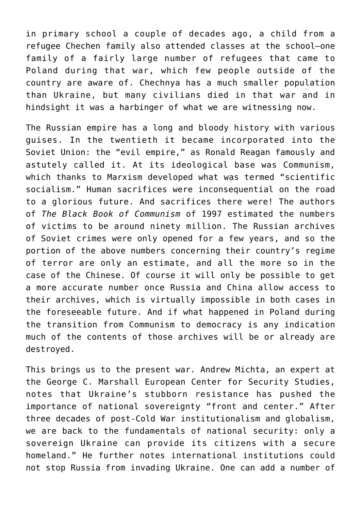in primary school a couple of decades ago, a child from a refugee Chechen family also attended classes at the school—one family of a fairly large number of refugees that came to Poland during that war, which few people outside of the country are aware of. Chechnya has a much smaller population than Ukraine, but many civilians died in that war and in hindsight it was a harbinger of what we are witnessing now.

The Russian empire has a long and bloody history with various guises. In the twentieth it became incorporated into the Soviet Union: the "evil empire," as Ronald Reagan famously and astutely called it. At its ideological base was Communism, which thanks to Marxism developed what was termed "scientific socialism." Human sacrifices were inconsequential on the road to a glorious future. And sacrifices there were! The authors of *The Black Book of Communism* of 1997 estimated the numbers of victims to be around ninety million. The Russian archives of Soviet crimes were only opened for a few years, and so the portion of the above numbers concerning their country's regime of terror are only an estimate, and all the more so in the case of the Chinese. Of course it will only be possible to get a more accurate number once Russia and China allow access to their archives, which is virtually impossible in both cases in the foreseeable future. And if what happened in Poland during the transition from Communism to democracy is any indication much of the contents of those archives will be or already are destroyed.

This brings us to the present war. Andrew Michta, an expert at the George C. Marshall European Center for Security Studies, notes that Ukraine's stubborn resistance has pushed the importance of national sovereignty "front and center." After three decades of post-Cold War institutionalism and globalism, we are back to the fundamentals of national security: only a sovereign Ukraine can provide its citizens with a secure homeland." He further notes international institutions could not stop Russia from invading Ukraine. One can add a number of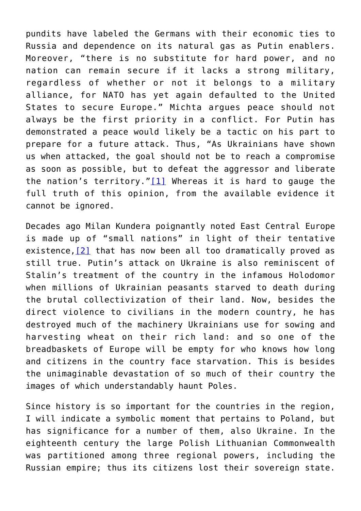pundits have labeled the Germans with their economic ties to Russia and dependence on its natural gas as Putin enablers. Moreover, "there is no substitute for hard power, and no nation can remain secure if it lacks a strong military, regardless of whether or not it belongs to a military alliance, for NATO has yet again defaulted to the United States to secure Europe." Michta argues peace should not always be the first priority in a conflict. For Putin has demonstrated a peace would likely be a tactic on his part to prepare for a future attack. Thus, "As Ukrainians have shown us when attacked, the goal should not be to reach a compromise as soon as possible, but to defeat the aggressor and liberate the nation's territory."[\[1\]](#page-4-0) Whereas it is hard to gauge the full truth of this opinion, from the available evidence it cannot be ignored.

<span id="page-2-0"></span>Decades ago Milan Kundera poignantly noted East Central Europe is made up of "small nations" in light of their tentative existence,[\[2\]](#page--1-0) that has now been all too dramatically proved as still true. Putin's attack on Ukraine is also reminiscent of Stalin's treatment of the country in the infamous Holodomor when millions of Ukrainian peasants starved to death during the brutal collectivization of their land. Now, besides the direct violence to civilians in the modern country, he has destroyed much of the machinery Ukrainians use for sowing and harvesting wheat on their rich land: and so one of the breadbaskets of Europe will be empty for who knows how long and citizens in the country face starvation. This is besides the unimaginable devastation of so much of their country the images of which understandably haunt Poles.

Since history is so important for the countries in the region, I will indicate a symbolic moment that pertains to Poland, but has significance for a number of them, also Ukraine. In the eighteenth century the large Polish Lithuanian Commonwealth was partitioned among three regional powers, including the Russian empire; thus its citizens lost their sovereign state.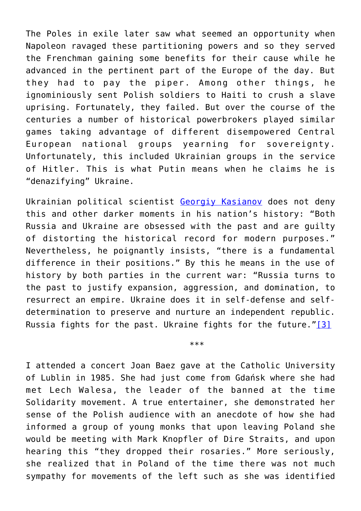The Poles in exile later saw what seemed an opportunity when Napoleon ravaged these partitioning powers and so they served the Frenchman gaining some benefits for their cause while he advanced in the pertinent part of the Europe of the day. But they had to pay the piper. Among other things, he ignominiously sent Polish soldiers to Haiti to crush a slave uprising. Fortunately, they failed. But over the course of the centuries a number of historical powerbrokers played similar games taking advantage of different disempowered Central European national groups yearning for sovereignty. Unfortunately, this included Ukrainian groups in the service of Hitler. This is what Putin means when he claims he is "denazifying" Ukraine.

Ukrainian political scientist [Georgiy Kasianov](https://www.foreignaffairs.com/articles/ukraine/2022-05-04/war-over-ukrainian-identity?check_logged_in=1&utm_medium=promo_email&utm_source=lo_flows&utm_campaign=registered_user_welcome&utm_term=email_1&utm_content=20220506#author-info) does not deny this and other darker moments in his nation's history: "Both Russia and Ukraine are obsessed with the past and are guilty of distorting the historical record for modern purposes." Nevertheless, he poignantly insists, "there is a fundamental difference in their positions." By this he means in the use of history by both parties in the current war: "Russia turns to the past to justify expansion, aggression, and domination, to resurrect an empire. Ukraine does it in self-defense and selfdetermination to preserve and nurture an independent republic. Russia fights for the past. Ukraine fights for the future." $[3]$ 

\*\*\*

<span id="page-3-0"></span>I attended a concert Joan Baez gave at the Catholic University of Lublin in 1985. She had just come from Gdańsk where she had met Lech Walesa, the leader of the banned at the time Solidarity movement. A true entertainer, she demonstrated her sense of the Polish audience with an anecdote of how she had informed a group of young monks that upon leaving Poland she would be meeting with Mark Knopfler of Dire Straits, and upon hearing this "they dropped their rosaries." More seriously, she realized that in Poland of the time there was not much sympathy for movements of the left such as she was identified